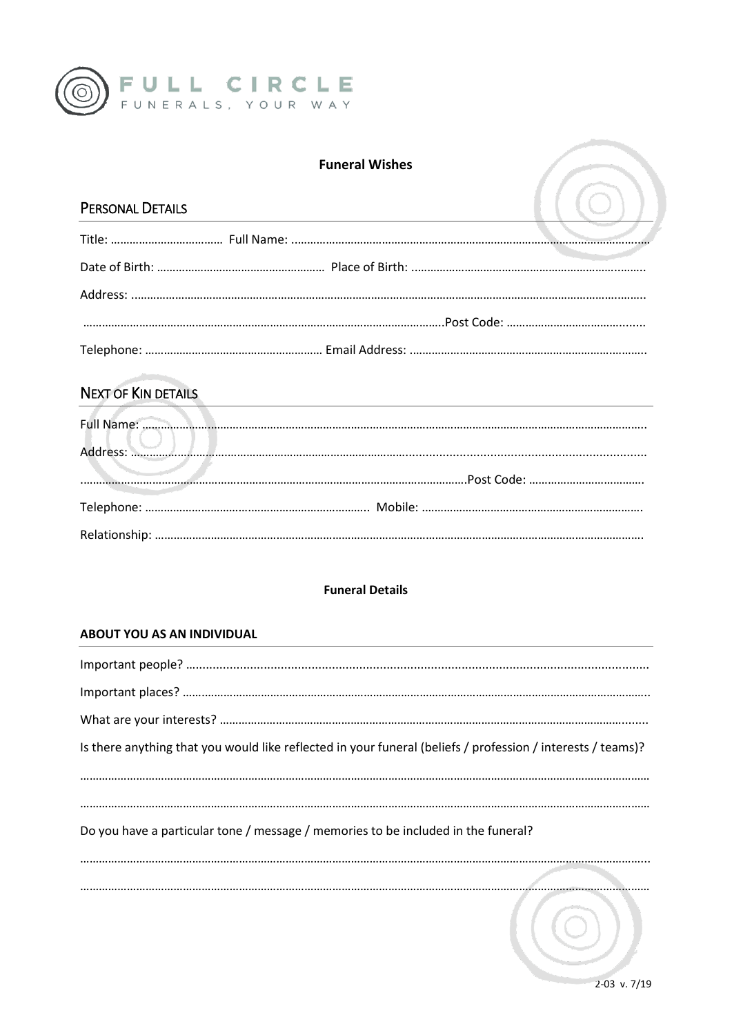

## **Funeral Wishes**

## PERSONAL DETAILS

|                  | <b>Funeral Wishes</b> |  |
|------------------|-----------------------|--|
| PERSONAL DETAILS |                       |  |
|                  |                       |  |
|                  |                       |  |
|                  |                       |  |
|                  |                       |  |
|                  |                       |  |

# **NEXT OF KIN DETAILS**

### **Funeral Details**

#### ABOUT YOU AS AN INDIVIDUAL

| Is there anything that you would like reflected in your funeral (beliefs / profession / interests / teams)? |
|-------------------------------------------------------------------------------------------------------------|
|                                                                                                             |
| Do you have a particular tone / message / memories to be included in the funeral?                           |
|                                                                                                             |
|                                                                                                             |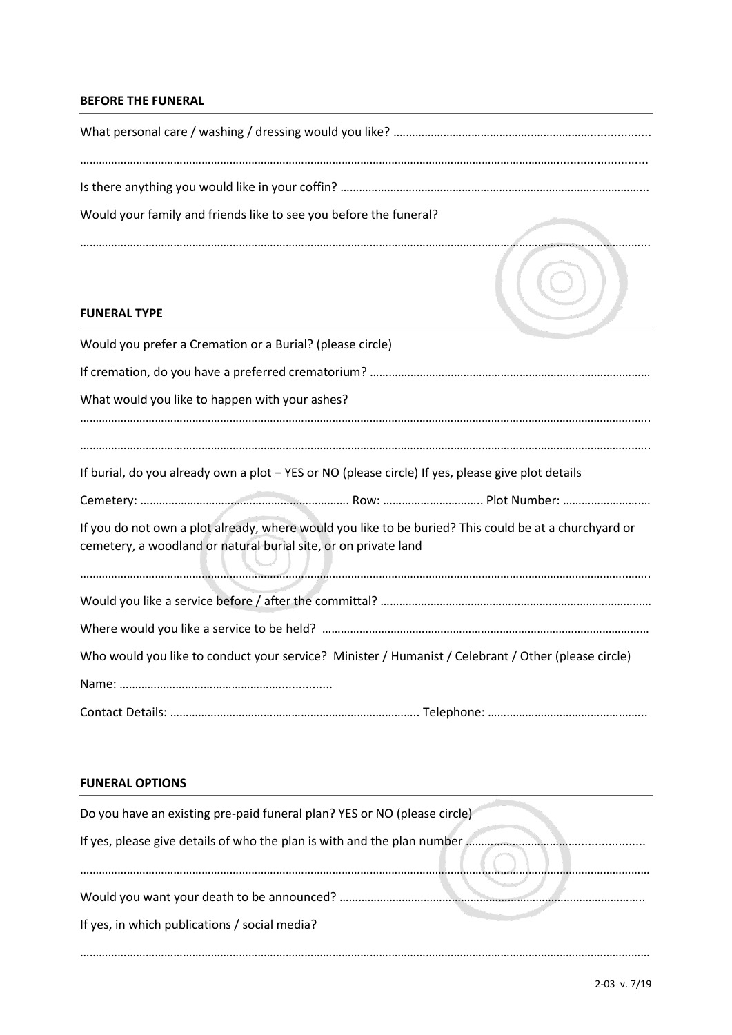#### **BEFORE THE FUNERAL**

| Would your family and friends like to see you before the funeral?                                                                                                        |  |  |
|--------------------------------------------------------------------------------------------------------------------------------------------------------------------------|--|--|
| <b>FUNERAL TYPE</b>                                                                                                                                                      |  |  |
| Would you prefer a Cremation or a Burial? (please circle)                                                                                                                |  |  |
|                                                                                                                                                                          |  |  |
| What would you like to happen with your ashes?                                                                                                                           |  |  |
| If burial, do you already own a plot - YES or NO (please circle) If yes, please give plot details                                                                        |  |  |
|                                                                                                                                                                          |  |  |
| If you do not own a plot already, where would you like to be buried? This could be at a churchyard or<br>cemetery, a woodland or natural burial site, or on private land |  |  |
|                                                                                                                                                                          |  |  |
|                                                                                                                                                                          |  |  |
| Who would you like to conduct your service? Minister / Humanist / Celebrant / Other (please circle)                                                                      |  |  |
|                                                                                                                                                                          |  |  |
|                                                                                                                                                                          |  |  |

#### **FUNERAL OPTIONS**

| Do you have an existing pre-paid funeral plan? YES or NO (please circle)                    |
|---------------------------------------------------------------------------------------------|
| If yes, please give details of who the plan is with and the plan number                     |
| Would you want your death to be announced?<br>If yes, in which publications / social media? |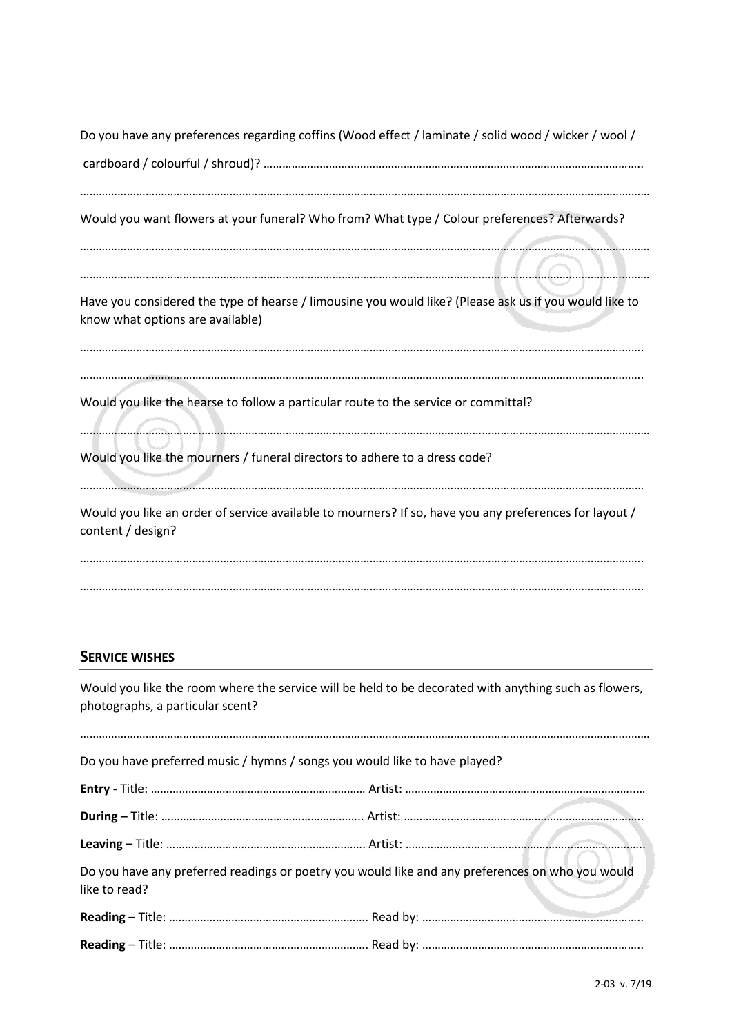| Do you have any preferences regarding coffins (Wood effect / laminate / solid wood / wicker / wool /                                       |
|--------------------------------------------------------------------------------------------------------------------------------------------|
|                                                                                                                                            |
| Would you want flowers at your funeral? Who from? What type / Colour preferences? Afterwards?                                              |
|                                                                                                                                            |
| Have you considered the type of hearse / limousine you would like? (Please ask us if you would like to<br>know what options are available) |
| Would you like the hearse to follow a particular route to the service or committal?                                                        |
|                                                                                                                                            |
| Would you like the mourners / funeral directors to adhere to a dress code?                                                                 |
| Would you like an order of service available to mourners? If so, have you any preferences for layout /<br>content / design?                |
|                                                                                                                                            |

# **SERVICE WISHES**

Would you like the room where the service will be held to be decorated with anything such as flowers, photographs, a particular scent?

| Do you have preferred music / hymns / songs you would like to have played?                                        |  |
|-------------------------------------------------------------------------------------------------------------------|--|
|                                                                                                                   |  |
|                                                                                                                   |  |
|                                                                                                                   |  |
| Do you have any preferred readings or poetry you would like and any preferences on who you would<br>like to read? |  |
|                                                                                                                   |  |
|                                                                                                                   |  |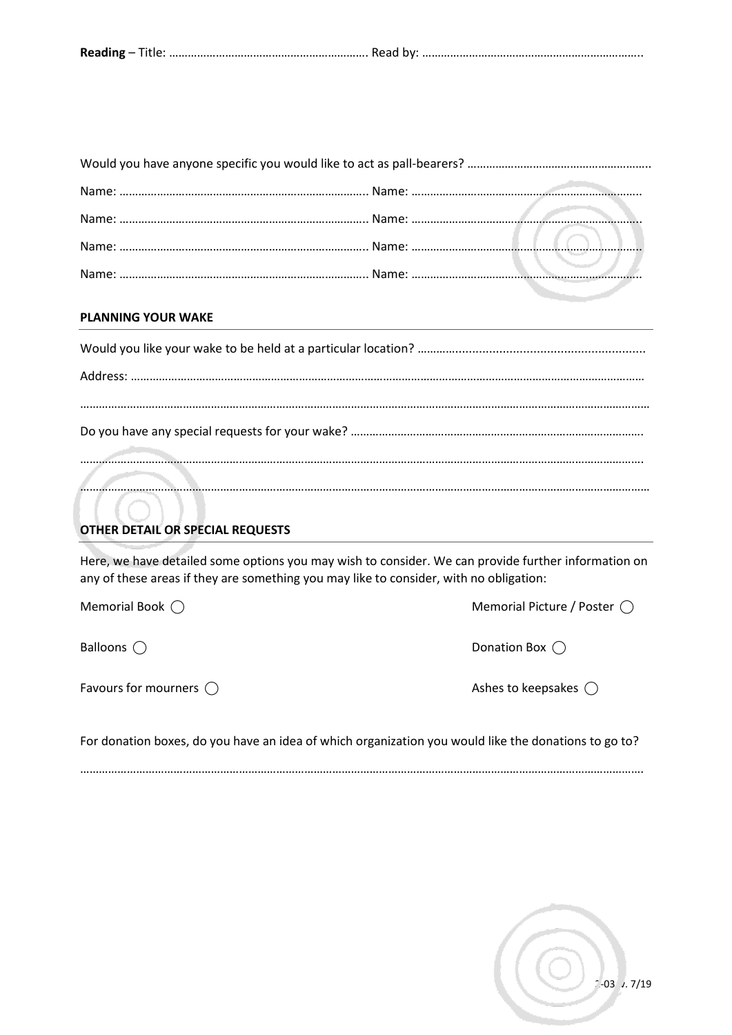|--|--|

## **PLANNING YOUR WAKE**

# **OTHER DETAIL OR SPECIAL REQUESTS**

Here, we have detailed some options you may wish to consider. We can provide further information on any of these areas if they are something you may like to consider, with no obligation:

Favours for mourners  $\bigcirc$  and the state of the state of the Ashes to keepsakes  $\bigcirc$ 

Memorial Book  $\bigcirc$  Memorial Picture / Poster  $\bigcirc$ 

Balloons  $\bigcirc$ 

For donation boxes, do you have an idea of which organization you would like the donations to go to?

……………………………………………………………………………………………………………………………………………………………….